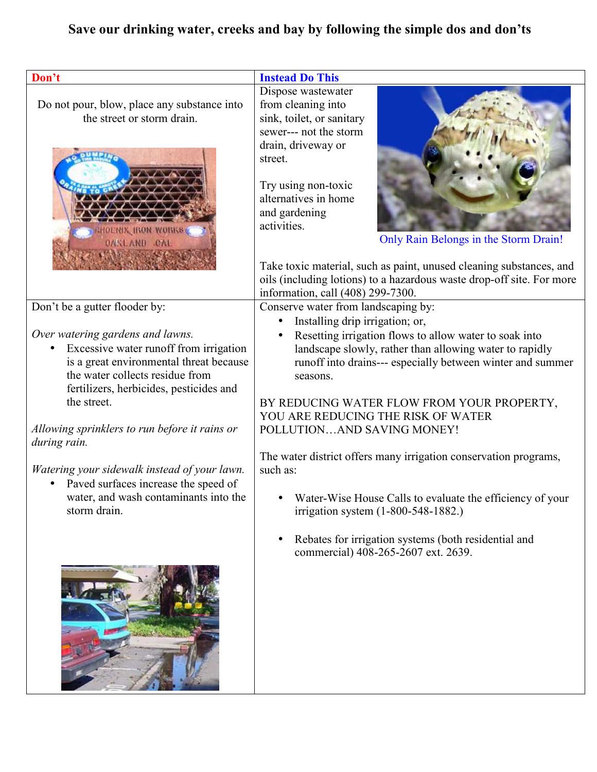## Save our drinking water, creeks and bay by following the simple dos and don'ts

| Don't                                                                                                                                                                                                                                                                                                                                                                                                                                | <b>Instead Do This</b>                                                                                                                                                                                                                                                                                                                                                                                                                                                                                                                                                                             |
|--------------------------------------------------------------------------------------------------------------------------------------------------------------------------------------------------------------------------------------------------------------------------------------------------------------------------------------------------------------------------------------------------------------------------------------|----------------------------------------------------------------------------------------------------------------------------------------------------------------------------------------------------------------------------------------------------------------------------------------------------------------------------------------------------------------------------------------------------------------------------------------------------------------------------------------------------------------------------------------------------------------------------------------------------|
|                                                                                                                                                                                                                                                                                                                                                                                                                                      | Dispose wastewater                                                                                                                                                                                                                                                                                                                                                                                                                                                                                                                                                                                 |
| Do not pour, blow, place any substance into<br>the street or storm drain.<br><b>HOENIX IRON WORKS</b><br><b>OAKLAND CAL</b>                                                                                                                                                                                                                                                                                                          | from cleaning into<br>sink, toilet, or sanitary<br>sewer--- not the storm<br>drain, driveway or<br>street.<br>Try using non-toxic<br>alternatives in home<br>and gardening<br>activities.<br>Only Rain Belongs in the Storm Drain!                                                                                                                                                                                                                                                                                                                                                                 |
|                                                                                                                                                                                                                                                                                                                                                                                                                                      | Take toxic material, such as paint, unused cleaning substances, and<br>oils (including lotions) to a hazardous waste drop-off site. For more<br>information, call (408) 299-7300.                                                                                                                                                                                                                                                                                                                                                                                                                  |
| Don't be a gutter flooder by:                                                                                                                                                                                                                                                                                                                                                                                                        | Conserve water from landscaping by:                                                                                                                                                                                                                                                                                                                                                                                                                                                                                                                                                                |
|                                                                                                                                                                                                                                                                                                                                                                                                                                      | Installing drip irrigation; or,                                                                                                                                                                                                                                                                                                                                                                                                                                                                                                                                                                    |
| Over watering gardens and lawns.<br>Excessive water runoff from irrigation<br>is a great environmental threat because<br>the water collects residue from<br>fertilizers, herbicides, pesticides and<br>the street.<br>Allowing sprinklers to run before it rains or<br>during rain.<br>Watering your sidewalk instead of your lawn.<br>Paved surfaces increase the speed of<br>water, and wash contaminants into the<br>storm drain. | Resetting irrigation flows to allow water to soak into<br>landscape slowly, rather than allowing water to rapidly<br>runoff into drains--- especially between winter and summer<br>seasons.<br>BY REDUCING WATER FLOW FROM YOUR PROPERTY,<br>YOU ARE REDUCING THE RISK OF WATER<br>POLLUTIONAND SAVING MONEY!<br>The water district offers many irrigation conservation programs,<br>such as:<br>• Water-Wise House Calls to evaluate the efficiency of your<br>irrigation system (1-800-548-1882.)<br>Rebates for irrigation systems (both residential and<br>commercial) 408-265-2607 ext. 2639. |
|                                                                                                                                                                                                                                                                                                                                                                                                                                      |                                                                                                                                                                                                                                                                                                                                                                                                                                                                                                                                                                                                    |